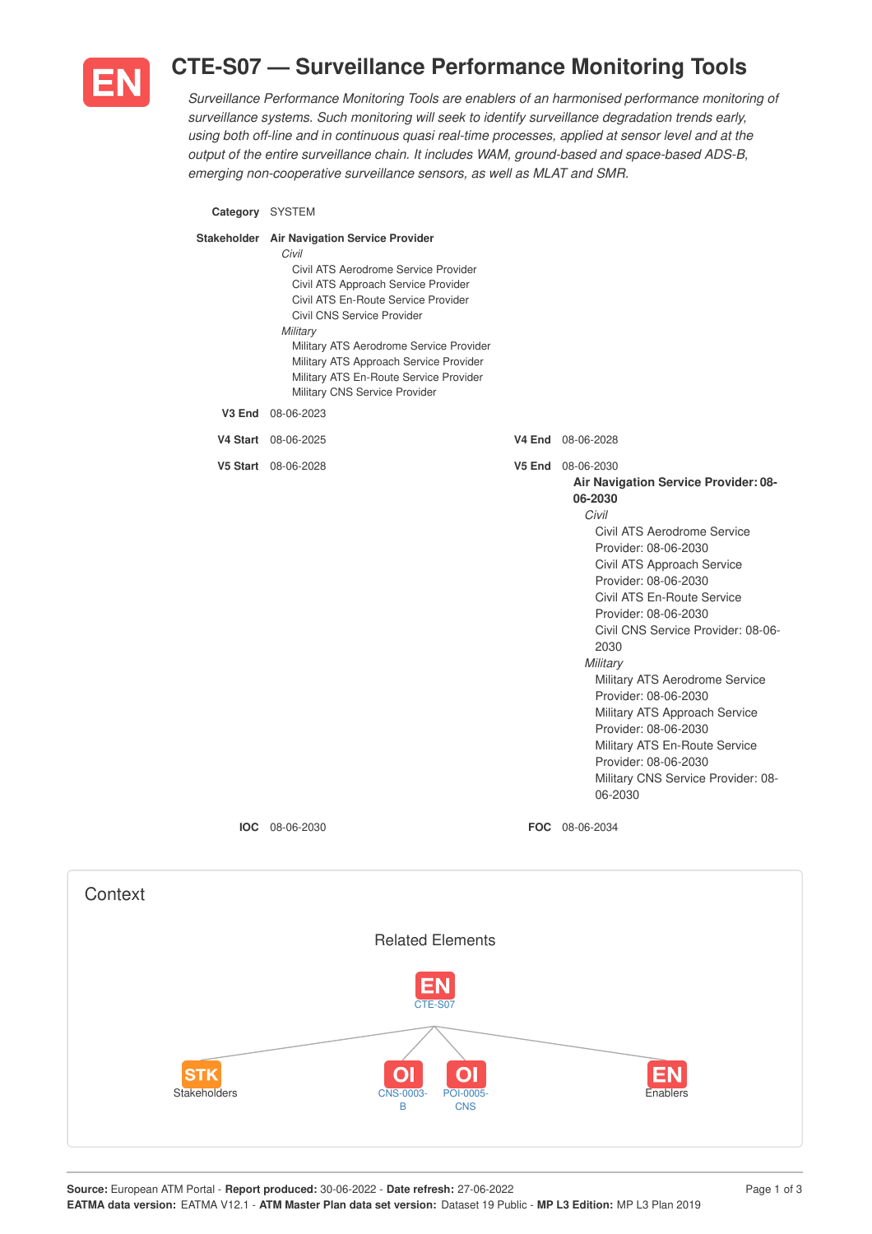

## **CTE-S07 — Surveillance Performance Monitoring Tools**

*Surveillance Performance Monitoring Tools are enablers of an harmonised performance monitoring of surveillance systems. Such monitoring will seek to identify surveillance degradation trends early, using both off-line and in continuous quasi real-time processes, applied at sensor level and at the output of the entire surveillance chain. It includes WAM, ground-based and space-based ADS-B, emerging non-cooperative surveillance sensors, as well as MLAT and SMR.*

**Category** SYSTEM

| Stakeholder Air Navigation Service Provider<br>Civil<br>Civil ATS Aerodrome Service Provider<br>Civil ATS Approach Service Provider<br>Civil ATS En-Route Service Provider<br>Civil CNS Service Provider<br>Military<br>Military ATS Aerodrome Service Provider<br>Military ATS Approach Service Provider<br>Military ATS En-Route Service Provider<br>Military CNS Service Provider |                                                                                                                                                                                                                                                                                                                                                                                                                                                                                                                                                |
|--------------------------------------------------------------------------------------------------------------------------------------------------------------------------------------------------------------------------------------------------------------------------------------------------------------------------------------------------------------------------------------|------------------------------------------------------------------------------------------------------------------------------------------------------------------------------------------------------------------------------------------------------------------------------------------------------------------------------------------------------------------------------------------------------------------------------------------------------------------------------------------------------------------------------------------------|
| V3 End 08-06-2023                                                                                                                                                                                                                                                                                                                                                                    |                                                                                                                                                                                                                                                                                                                                                                                                                                                                                                                                                |
| V4 Start 08-06-2025                                                                                                                                                                                                                                                                                                                                                                  | <b>V4 End</b> 08-06-2028                                                                                                                                                                                                                                                                                                                                                                                                                                                                                                                       |
| V5 Start 08-06-2028                                                                                                                                                                                                                                                                                                                                                                  | <b>V5 End</b> 08-06-2030<br>Air Navigation Service Provider: 08-<br>06-2030<br>Civil<br>Civil ATS Aerodrome Service<br>Provider: 08-06-2030<br>Civil ATS Approach Service<br>Provider: 08-06-2030<br>Civil ATS En-Route Service<br>Provider: 08-06-2030<br>Civil CNS Service Provider: 08-06-<br>2030<br>Military<br>Military ATS Aerodrome Service<br>Provider: 08-06-2030<br>Military ATS Approach Service<br>Provider: 08-06-2030<br>Military ATS En-Route Service<br>Provider: 08-06-2030<br>Military CNS Service Provider: 08-<br>06-2030 |
| <b>IOC</b> 08-06-2030                                                                                                                                                                                                                                                                                                                                                                | FOC 08-06-2034                                                                                                                                                                                                                                                                                                                                                                                                                                                                                                                                 |

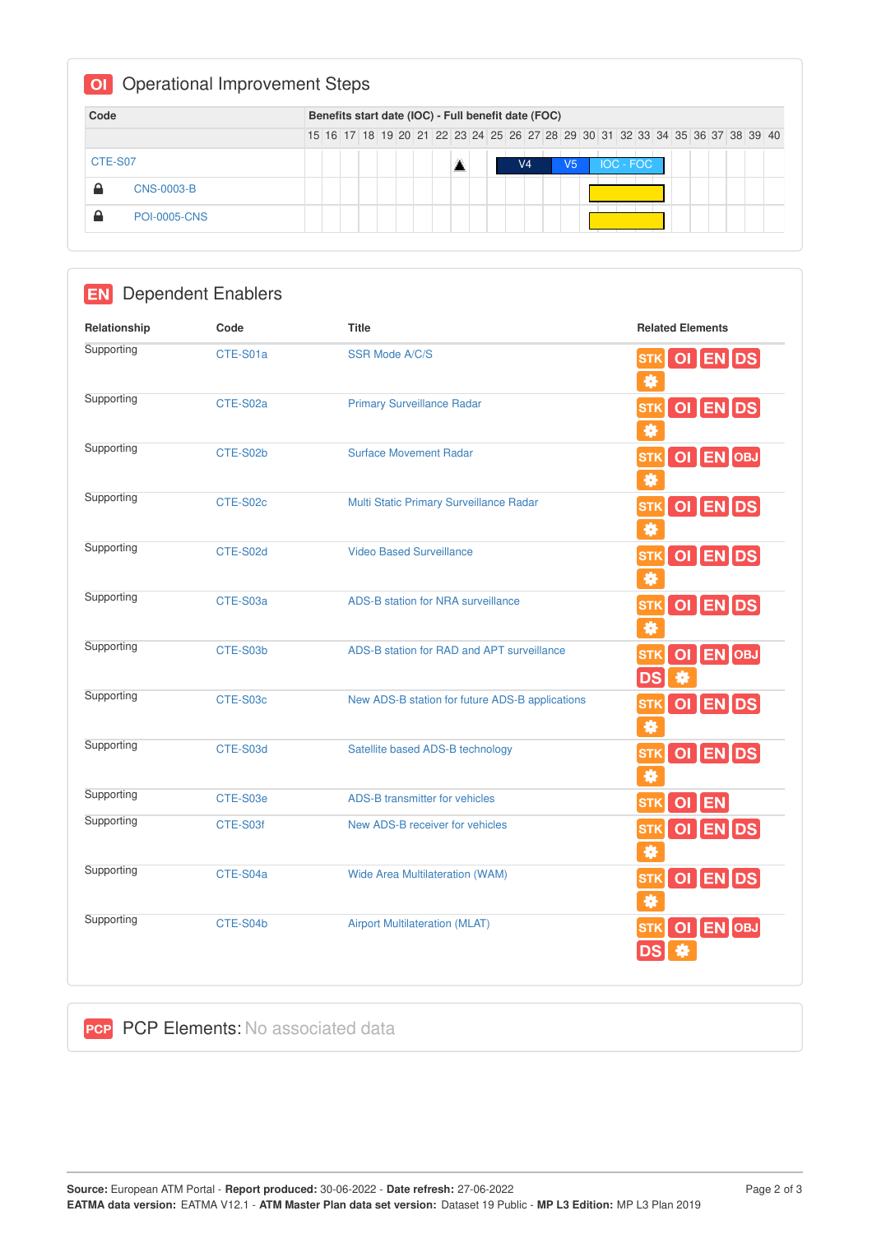| Code    |                     |  |  |  |  |  | Benefits start date (IOC) - Full benefit date (FOC) |  |    |  |                                                                               |  |  |  |  |
|---------|---------------------|--|--|--|--|--|-----------------------------------------------------|--|----|--|-------------------------------------------------------------------------------|--|--|--|--|
|         |                     |  |  |  |  |  |                                                     |  |    |  | 15 16 17 18 19 20 21 22 23 24 25 26 27 28 29 30 31 32 33 34 35 36 37 38 39 40 |  |  |  |  |
| CTE-S07 |                     |  |  |  |  |  | V <sub>4</sub>                                      |  | V5 |  | IOC - FOC                                                                     |  |  |  |  |
| ≏       | CNS-0003-B          |  |  |  |  |  |                                                     |  |    |  |                                                                               |  |  |  |  |
| ≏       | <b>POI-0005-CNS</b> |  |  |  |  |  |                                                     |  |    |  |                                                                               |  |  |  |  |

| <b>EN</b>    | <b>Dependent Enablers</b> |                                                 |                                                                 |
|--------------|---------------------------|-------------------------------------------------|-----------------------------------------------------------------|
| Relationship | Code                      | <b>Title</b>                                    | <b>Related Elements</b>                                         |
| Supporting   | CTE-S01a                  | <b>SSR Mode A/C/S</b>                           | OI EN DS<br><b>STK</b><br>眷                                     |
| Supporting   | CTE-S02a                  | <b>Primary Surveillance Radar</b>               | OI ENDS<br><b>STK</b><br>券                                      |
| Supporting   | CTE-S02b                  | <b>Surface Movement Radar</b>                   | OI EN OBJ<br><b>STK</b><br>券                                    |
| Supporting   | CTE-S02c                  | Multi Static Primary Surveillance Radar         | OI ENDS<br><b>STK</b><br>豢                                      |
| Supporting   | CTE-S02d                  | <b>Video Based Surveillance</b>                 | OI EN DS<br><b>STK</b><br>拳                                     |
| Supporting   | CTE-S03a                  | ADS-B station for NRA surveillance              | OI ENDS<br><b>STK</b><br>眷                                      |
| Supporting   | CTE-S03b                  | ADS-B station for RAD and APT surveillance      | <b>EN</b> OBJ<br>$\overline{O}$<br><b>STK</b><br><b>DS</b><br>桊 |
| Supporting   | CTE-S03c                  | New ADS-B station for future ADS-B applications | OI ENDS<br><b>STK</b><br>券                                      |
| Supporting   | CTE-S03d                  | Satellite based ADS-B technology                | OI ENDS<br><b>STK</b><br>養                                      |
| Supporting   | CTE-S03e                  | ADS-B transmitter for vehicles                  | <b>STK</b><br>OI EN                                             |
| Supporting   | CTE-S03f                  | New ADS-B receiver for vehicles                 | OI ENDS<br><b>STK</b><br>眷                                      |
| Supporting   | CTE-S04a                  | Wide Area Multilateration (WAM)                 | OI EN DS<br><b>STK</b><br>拳                                     |
| Supporting   | CTE-S04b                  | <b>Airport Multilateration (MLAT)</b>           | OI EN OBJ<br><b>STK</b>                                         |

**PCP PCP Elements: No associated data**